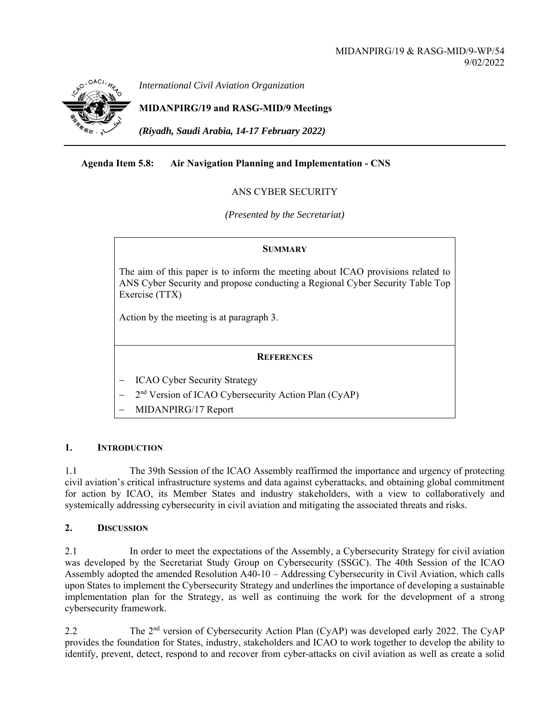

*International Civil Aviation Organization*

**MIDANPIRG/19 and RASG-MID/9 Meetings** 

*(Riyadh, Saudi Arabia, 14-17 February 2022)* 

# **Agenda Item 5.8: Air Navigation Planning and Implementation - CNS**

## ANS CYBER SECURITY

*(Presented by the Secretariat)* 

### **SUMMARY**

The aim of this paper is to inform the meeting about ICAO provisions related to ANS Cyber Security and propose conducting a Regional Cyber Security Table Top Exercise (TTX)

Action by the meeting is at paragraph 3.

### **REFERENCES**

- ICAO Cyber Security Strategy
- 2<sup>nd</sup> Version of ICAO Cybersecurity Action Plan (CyAP)
- MIDANPIRG/17 Report

### **1. INTRODUCTION**

1.1 The 39th Session of the ICAO Assembly reaffirmed the importance and urgency of protecting civil aviation's critical infrastructure systems and data against cyberattacks, and obtaining global commitment for action by ICAO, its Member States and industry stakeholders, with a view to collaboratively and systemically addressing cybersecurity in civil aviation and mitigating the associated threats and risks.

### **2. DISCUSSION**

2.1 In order to meet the expectations of the Assembly, a Cybersecurity Strategy for civil aviation was developed by the Secretariat Study Group on Cybersecurity (SSGC). The 40th Session of the ICAO Assembly adopted the amended Resolution A40-10 – Addressing Cybersecurity in Civil Aviation, which calls upon States to implement the Cybersecurity Strategy and underlines the importance of developing a sustainable implementation plan for the Strategy, as well as continuing the work for the development of a strong cybersecurity framework.

2.2 The 2<sup>nd</sup> version of Cybersecurity Action Plan (CyAP) was developed early 2022. The CyAP provides the foundation for States, industry, stakeholders and ICAO to work together to develop the ability to identify, prevent, detect, respond to and recover from cyber-attacks on civil aviation as well as create a solid